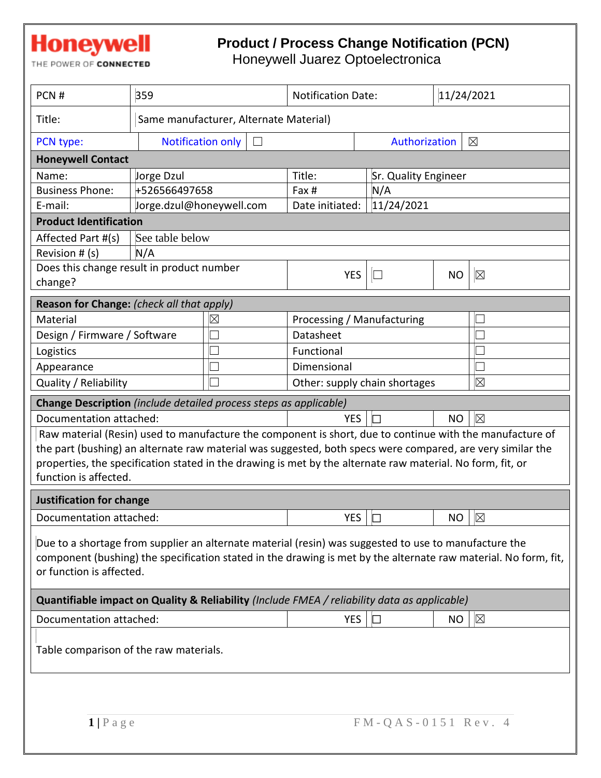# **Honeywell**

#### **Product / Process Change Notification (PCN)**

THE POWER OF CONNECTED

Honeywell Juarez Optoelectronica

| PCN#                                                                                                                                                                                                                                                 | 359                                |                                        | <b>Notification Date:</b>                    |                             | 11/24/2021  |             |  |
|------------------------------------------------------------------------------------------------------------------------------------------------------------------------------------------------------------------------------------------------------|------------------------------------|----------------------------------------|----------------------------------------------|-----------------------------|-------------|-------------|--|
| Title:                                                                                                                                                                                                                                               |                                    | Same manufacturer, Alternate Material) |                                              |                             |             |             |  |
| PCN type:                                                                                                                                                                                                                                            | <b>Notification only</b><br>$\Box$ |                                        |                                              | Authorization               |             | $\boxtimes$ |  |
| <b>Honeywell Contact</b>                                                                                                                                                                                                                             |                                    |                                        |                                              |                             |             |             |  |
| Name:                                                                                                                                                                                                                                                | Jorge Dzul                         |                                        | Title:                                       | <b>Sr. Quality Engineer</b> |             |             |  |
| <b>Business Phone:</b>                                                                                                                                                                                                                               | +526566497658                      |                                        | Fax #                                        | N/A                         |             |             |  |
| E-mail:                                                                                                                                                                                                                                              | Jorge.dzul@honeywell.com           |                                        | Date initiated:                              | 11/24/2021                  |             |             |  |
| <b>Product Identification</b>                                                                                                                                                                                                                        |                                    |                                        |                                              |                             |             |             |  |
| Affected Part #(s)                                                                                                                                                                                                                                   | See table below                    |                                        |                                              |                             |             |             |  |
| Revision # (s)                                                                                                                                                                                                                                       | N/A                                |                                        |                                              |                             |             |             |  |
| Does this change result in product number                                                                                                                                                                                                            |                                    |                                        | <b>YES</b>                                   | $\Box$                      | <b>NO</b>   | $\boxtimes$ |  |
| change?                                                                                                                                                                                                                                              |                                    |                                        |                                              |                             |             |             |  |
| Reason for Change: (check all that apply)                                                                                                                                                                                                            |                                    |                                        |                                              |                             |             |             |  |
| Material                                                                                                                                                                                                                                             |                                    | $\boxtimes$                            | Processing / Manufacturing                   |                             |             |             |  |
| Design / Firmware / Software                                                                                                                                                                                                                         |                                    |                                        | Datasheet                                    |                             |             |             |  |
| Logistics                                                                                                                                                                                                                                            |                                    |                                        | Functional                                   |                             |             |             |  |
| Appearance                                                                                                                                                                                                                                           |                                    |                                        | Dimensional                                  |                             |             |             |  |
| Quality / Reliability                                                                                                                                                                                                                                |                                    |                                        | $\boxtimes$<br>Other: supply chain shortages |                             |             |             |  |
| Change Description (include detailed process steps as applicable)                                                                                                                                                                                    |                                    |                                        |                                              |                             |             |             |  |
| Documentation attached:                                                                                                                                                                                                                              |                                    |                                        | <b>YES</b>                                   |                             | <b>NO</b>   | $\boxtimes$ |  |
| Raw material (Resin) used to manufacture the component is short, due to continue with the manufacture of                                                                                                                                             |                                    |                                        |                                              |                             |             |             |  |
| the part (bushing) an alternate raw material was suggested, both specs were compared, are very similar the                                                                                                                                           |                                    |                                        |                                              |                             |             |             |  |
| properties, the specification stated in the drawing is met by the alternate raw material. No form, fit, or                                                                                                                                           |                                    |                                        |                                              |                             |             |             |  |
| function is affected.                                                                                                                                                                                                                                |                                    |                                        |                                              |                             |             |             |  |
| <b>Justification for change</b>                                                                                                                                                                                                                      |                                    |                                        |                                              |                             |             |             |  |
| Documentation attached:                                                                                                                                                                                                                              |                                    | <b>YES</b>                             | IП                                           | NO                          | $\boxtimes$ |             |  |
| Due to a shortage from supplier an alternate material (resin) was suggested to use to manufacture the<br>component (bushing) the specification stated in the drawing is met by the alternate raw material. No form, fit,<br>or function is affected. |                                    |                                        |                                              |                             |             |             |  |
| Quantifiable impact on Quality & Reliability (Include FMEA / reliability data as applicable)                                                                                                                                                         |                                    |                                        |                                              |                             |             |             |  |
| Documentation attached:                                                                                                                                                                                                                              |                                    |                                        | <b>YES</b>                                   | $\Box$                      | <b>NO</b>   | $\boxtimes$ |  |
| Table comparison of the raw materials.                                                                                                                                                                                                               |                                    |                                        |                                              |                             |             |             |  |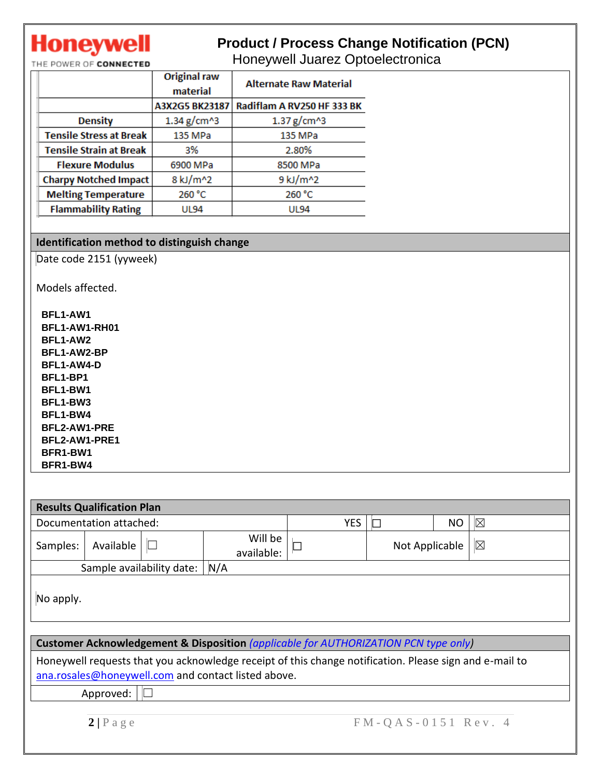## **Honeywell**

### **Product / Process Change Notification (PCN)**

THE POWER OF CONNECTED

Honeywell Juarez Optoelectronica

|                                | <b>Original raw</b><br>material | <b>Alternate Raw Material</b> |  |  |
|--------------------------------|---------------------------------|-------------------------------|--|--|
|                                | A3X2G5 BK23187                  | Radiflam A RV250 HF 333 BK    |  |  |
| <b>Density</b>                 | 1.34 $g/cm^{3}$                 | 1.37 $g/cm^{3}$               |  |  |
| <b>Tensile Stress at Break</b> | 135 MPa                         | 135 MPa                       |  |  |
| <b>Tensile Strain at Break</b> | 3%                              | 2.80%                         |  |  |
| <b>Flexure Modulus</b>         | 6900 MPa                        | 8500 MPa                      |  |  |
| <b>Charpy Notched Impact</b>   | 8 kJ/m^2                        | 9 kJ/m^2                      |  |  |
| <b>Melting Temperature</b>     | 260 °C                          | 260 °C                        |  |  |
| <b>Flammability Rating</b>     | UL94                            | <b>UL94</b>                   |  |  |

#### **Identification method to distinguish change**

Date code 2151 (yyweek)

Models affected.

**BFL1-AW1 BFL1-AW1-RH01 BFL1-AW2 BFL1-AW2-BP BFL1-AW4-D BFL1-BP1 BFL1-BW1 BFL1-BW3 BFL1-BW4 BFL2-AW1-PRE BFL2-AW1-PRE1 BFR1-BW1 BFR1-BW4**

|                                  | <b>Results Qualification Plan</b> |  |                                                                                                                                                               |  |                               |             |  |
|----------------------------------|-----------------------------------|--|---------------------------------------------------------------------------------------------------------------------------------------------------------------|--|-------------------------------|-------------|--|
| Documentation attached:          |                                   |  | <b>YES</b>                                                                                                                                                    |  | <b>NO</b>                     | $\boxtimes$ |  |
| Samples:                         | Available                         |  | Will be<br>available:                                                                                                                                         |  | $\boxtimes$<br>Not Applicable |             |  |
| N/A<br>Sample availability date: |                                   |  |                                                                                                                                                               |  |                               |             |  |
| No apply.                        |                                   |  |                                                                                                                                                               |  |                               |             |  |
|                                  |                                   |  | <b>Customer Acknowledgement &amp; Disposition</b> (applicable for AUTHORIZATION PCN type only)                                                                |  |                               |             |  |
|                                  |                                   |  | Honeywell requests that you acknowledge receipt of this change notification. Please sign and e-mail to<br>ana.rosales@honeywell.com and contact listed above. |  |                               |             |  |
| Approved:                        |                                   |  |                                                                                                                                                               |  |                               |             |  |